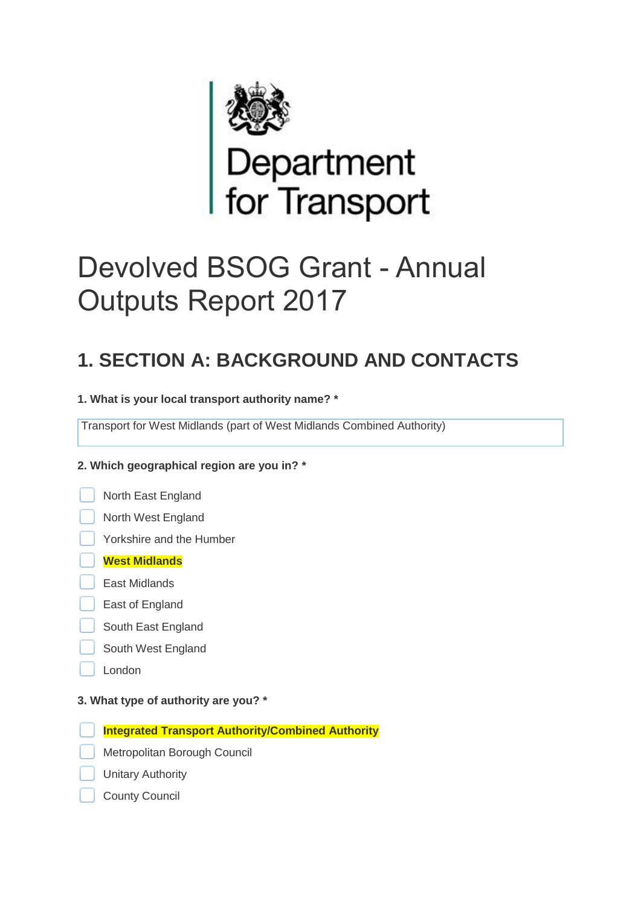

# Devolved BSOG Grant - Annual Outputs Report 2017

## **1. SECTION A: BACKGROUND AND CONTACTS**

**1. What is your local transport authority name? \***

Transport for West Midlands (part of West Midlands Combined Authority)

#### **2. Which geographical region are you in? \***

North East England



Yorkshire and the Humber

#### **West Midlands**

- East Midlands
- East of England
- South East England
- South West England
- London

#### **3. What type of authority are you? \***

**Integrated Transport Authority/Combined Authority**

- Metropolitan Borough Council
- Unitary Authority
- County Council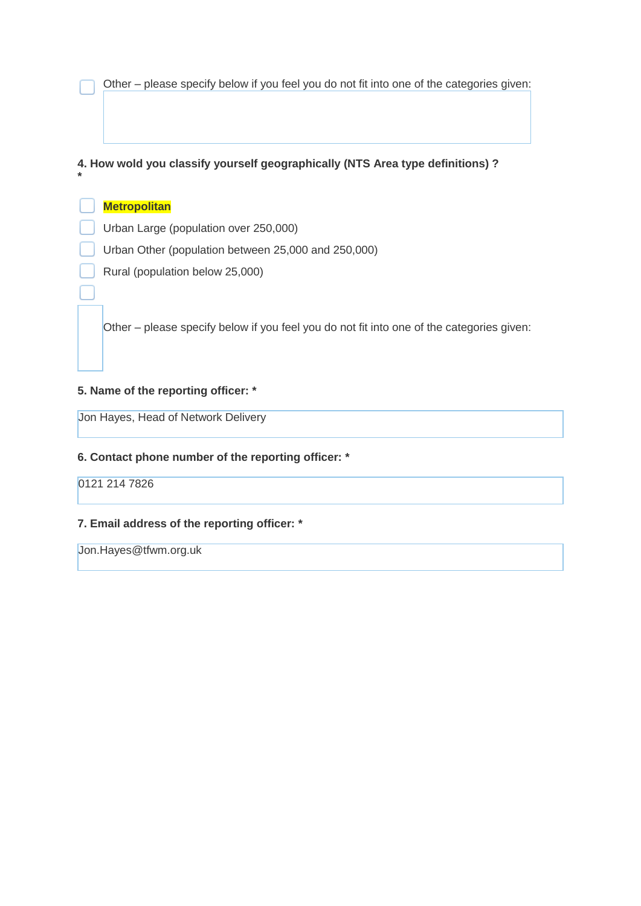Other – please specify below if you feel you do not fit into one of the categories given:

#### **4. How wold you classify yourself geographically (NTS Area type definitions) ?**

#### **Metropolitan**

**\***

- Urban Large (population over 250,000)
- Urban Other (population between 25,000 and 250,000)
- Rural (population below 25,000)

Other – please specify below if you feel you do not fit into one of the categories given:

#### **5. Name of the reporting officer: \***

Jon Hayes, Head of Network Delivery

#### **6. Contact phone number of the reporting officer: \***

0121 214 7826

#### **7. Email address of the reporting officer: \***

Jon.Hayes@tfwm.org.uk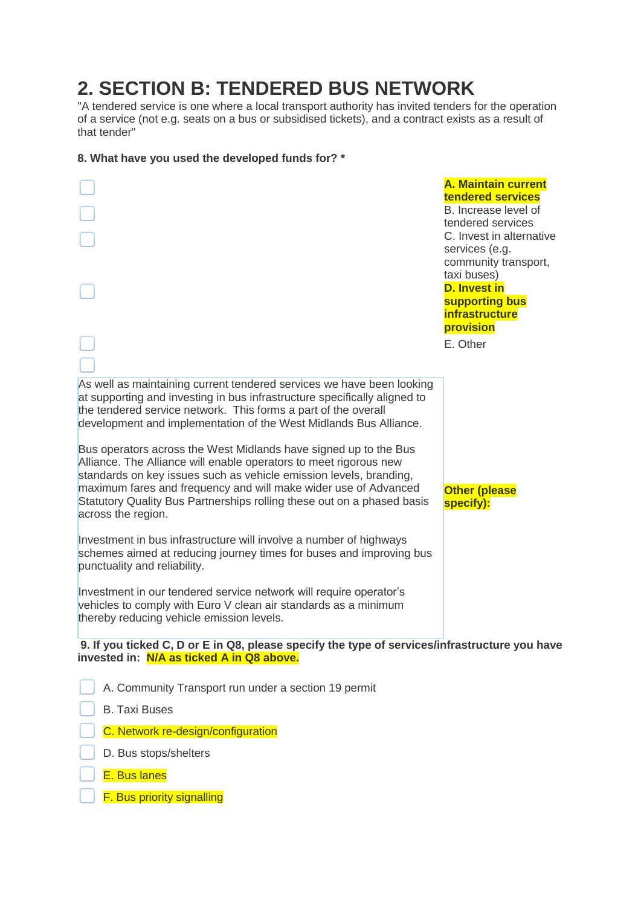## **2. SECTION B: TENDERED BUS NETWORK**

"A tendered service is one where a local transport authority has invited tenders for the operation of a service (not e.g. seats on a bus or subsidised tickets), and a contract exists as a result of that tender"

#### **8. What have you used the developed funds for? \***

|                                                                                                                                                                                                                                                                                           | <b>A. Maintain current</b><br>tendered services<br>B. Increase level of<br>tendered services<br>C. Invest in alternative<br>services (e.g.<br>community transport,<br>taxi buses)<br><b>D. Invest in</b><br>supporting bus<br><b>infrastructure</b><br>provision<br>E. Other |  |
|-------------------------------------------------------------------------------------------------------------------------------------------------------------------------------------------------------------------------------------------------------------------------------------------|------------------------------------------------------------------------------------------------------------------------------------------------------------------------------------------------------------------------------------------------------------------------------|--|
|                                                                                                                                                                                                                                                                                           |                                                                                                                                                                                                                                                                              |  |
| As well as maintaining current tendered services we have been looking<br>at supporting and investing in bus infrastructure specifically aligned to<br>the tendered service network. This forms a part of the overall<br>development and implementation of the West Midlands Bus Alliance. |                                                                                                                                                                                                                                                                              |  |
| Bus operators across the West Midlands have signed up to the Bus<br>Alliance. The Alliance will enable operators to meet rigorous new                                                                                                                                                     |                                                                                                                                                                                                                                                                              |  |
| standards on key issues such as vehicle emission levels, branding,<br>maximum fares and frequency and will make wider use of Advanced<br>Statutory Quality Bus Partnerships rolling these out on a phased basis<br>across the region.                                                     | <b>Other (please</b><br>specify):                                                                                                                                                                                                                                            |  |
| Investment in bus infrastructure will involve a number of highways<br>schemes aimed at reducing journey times for buses and improving bus<br>punctuality and reliability.                                                                                                                 |                                                                                                                                                                                                                                                                              |  |
| Investment in our tendered service network will require operator's<br>vehicles to comply with Euro V clean air standards as a minimum<br>thereby reducing vehicle emission levels.                                                                                                        |                                                                                                                                                                                                                                                                              |  |
| 9. If you ticked C, D or E in Q8, please specify the type of services/infrastructure you have<br>invested in: N/A as ticked A in Q8 above.                                                                                                                                                |                                                                                                                                                                                                                                                                              |  |
| A. Community Transport run under a section 19 permit                                                                                                                                                                                                                                      |                                                                                                                                                                                                                                                                              |  |
| <b>B. Taxi Buses</b>                                                                                                                                                                                                                                                                      |                                                                                                                                                                                                                                                                              |  |
| C. Network re-design/configuration                                                                                                                                                                                                                                                        |                                                                                                                                                                                                                                                                              |  |
| D. Bus stops/shelters                                                                                                                                                                                                                                                                     |                                                                                                                                                                                                                                                                              |  |
| E. Bus lanes                                                                                                                                                                                                                                                                              |                                                                                                                                                                                                                                                                              |  |
| F. Bus priority signalling                                                                                                                                                                                                                                                                |                                                                                                                                                                                                                                                                              |  |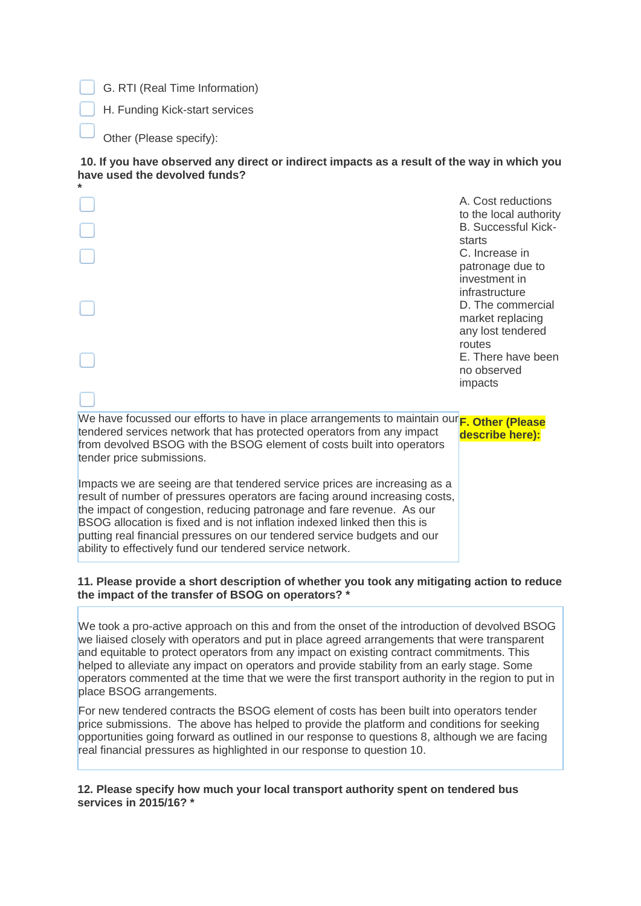G. RTI (Real Time Information)

H. Funding Kick-start services

Other (Please specify):

#### **10. If you have observed any direct or indirect impacts as a result of the way in which you have used the devolved funds?**

| *                                                                                                                                                                                                                                                                                                                                                                                                                                                        |                                                   |
|----------------------------------------------------------------------------------------------------------------------------------------------------------------------------------------------------------------------------------------------------------------------------------------------------------------------------------------------------------------------------------------------------------------------------------------------------------|---------------------------------------------------|
|                                                                                                                                                                                                                                                                                                                                                                                                                                                          | A. Cost reductions<br>to the local authority      |
|                                                                                                                                                                                                                                                                                                                                                                                                                                                          | <b>B.</b> Successful Kick-<br>starts              |
|                                                                                                                                                                                                                                                                                                                                                                                                                                                          | C. Increase in<br>patronage due to                |
|                                                                                                                                                                                                                                                                                                                                                                                                                                                          | investment in<br>infrastructure                   |
|                                                                                                                                                                                                                                                                                                                                                                                                                                                          | D. The commercial<br>market replacing             |
|                                                                                                                                                                                                                                                                                                                                                                                                                                                          | any lost tendered<br>routes<br>E. There have been |
|                                                                                                                                                                                                                                                                                                                                                                                                                                                          | no observed<br>impacts                            |
|                                                                                                                                                                                                                                                                                                                                                                                                                                                          |                                                   |
| We have focussed our efforts to have in place arrangements to maintain our <sub>F. Other</sub> (Please<br>tendered services network that has protected operators from any impact<br>from devolved BSOG with the BSOG element of costs built into operators<br>tender price submissions.                                                                                                                                                                  | describe here):                                   |
| Impacts we are seeing are that tendered service prices are increasing as a<br>result of number of pressures operators are facing around increasing costs,<br>the impact of congestion, reducing patronage and fare revenue. As our<br>BSOG allocation is fixed and is not inflation indexed linked then this is<br>putting real financial pressures on our tendered service budgets and our<br>ability to effectively fund our tendered service network. |                                                   |

#### **11. Please provide a short description of whether you took any mitigating action to reduce the impact of the transfer of BSOG on operators? \***

We took a pro-active approach on this and from the onset of the introduction of devolved BSOG we liaised closely with operators and put in place agreed arrangements that were transparent and equitable to protect operators from any impact on existing contract commitments. This helped to alleviate any impact on operators and provide stability from an early stage. Some operators commented at the time that we were the first transport authority in the region to put in place BSOG arrangements.

For new tendered contracts the BSOG element of costs has been built into operators tender price submissions. The above has helped to provide the platform and conditions for seeking opportunities going forward as outlined in our response to questions 8, although we are facing real financial pressures as highlighted in our response to question 10.

**12. Please specify how much your local transport authority spent on tendered bus services in 2015/16? \***